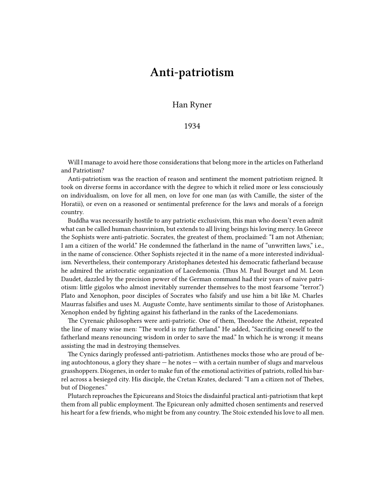## **Anti-patriotism**

## Han Ryner

## 1934

Will I manage to avoid here those considerations that belong more in the articles on Fatherland and Patriotism?

Anti-patriotism was the reaction of reason and sentiment the moment patriotism reigned. It took on diverse forms in accordance with the degree to which it relied more or less consciously on individualism, on love for all men, on love for one man (as with Camille, the sister of the Horatii), or even on a reasoned or sentimental preference for the laws and morals of a foreign country.

Buddha was necessarily hostile to any patriotic exclusivism, this man who doesn't even admit what can be called human chauvinism, but extends to all living beings his loving mercy. In Greece the Sophists were anti-patriotic. Socrates, the greatest of them, proclaimed: "I am not Athenian; I am a citizen of the world." He condemned the fatherland in the name of "unwritten laws," i.e., in the name of conscience. Other Sophists rejected it in the name of a more interested individualism. Nevertheless, their contemporary Aristophanes detested his democratic fatherland because he admired the aristocratic organization of Lacedemonia. (Thus M. Paul Bourget and M. Leon Daudet, dazzled by the precision power of the German command had their years of naive patriotism: little gigolos who almost inevitably surrender themselves to the most fearsome "terror.") Plato and Xenophon, poor disciples of Socrates who falsify and use him a bit like M. Charles Maurras falsifies and uses M. Auguste Comte, have sentiments similar to those of Aristophanes. Xenophon ended by fighting against his fatherland in the ranks of the Lacedemonians.

The Cyrenaic philosophers were anti-patriotic. One of them, Theodore the Atheist, repeated the line of many wise men: "The world is my fatherland." He added, "Sacrificing oneself to the fatherland means renouncing wisdom in order to save the mad." In which he is wrong: it means assisting the mad in destroying themselves.

The Cynics daringly professed anti-patriotism. Antisthenes mocks those who are proud of being autochtonous, a glory they share — he notes — with a certain number of slugs and marvelous grasshoppers. Diogenes, in order to make fun of the emotional activities of patriots, rolled his barrel across a besieged city. His disciple, the Cretan Krates, declared: "I am a citizen not of Thebes, but of Diogenes."

Plutarch reproaches the Epicureans and Stoics the disdainful practical anti-patriotism that kept them from all public employment. The Epicurean only admitted chosen sentiments and reserved his heart for a few friends, who might be from any country. The Stoic extended his love to all men.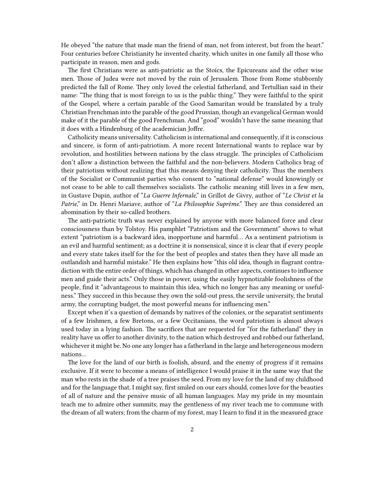He obeyed "the nature that made man the friend of man, not from interest, but from the heart." Four centuries before Christianity he invented charity, which unites in one family all those who participate in reason, men and gods.

The first Christians were as anti-patriotic as the Stoics, the Epicureans and the other wise men. Those of Judea were not moved by the ruin of Jerusalem. Those from Rome stubbornly predicted the fall of Rome. They only loved the celestial fatherland, and Tertullian said in their name: "The thing that is most foreign to us is the public thing." They were faithful to the spirit of the Gospel, where a certain parable of the Good Samaritan would be translated by a truly Christian Frenchman into the parable of the good Prussian, though an evangelical German would make of it the parable of the good Frenchman. And "good" wouldn't have the same meaning that it does with a Hindenburg of the academician Joffre.

Catholicity means universality. Catholicism is international and consequently, if it is conscious and sincere, is form of anti-patriotism. A more recent International wants to replace war by revolution, and hostilities between nations by the class struggle. The principles of Catholicism don't allow a distinction between the faithful and the non-believers. Modern Catholics brag of their patriotism without realizing that this means denying their catholicity. Thus the members of the Socialist or Communist parties who consent to "national defense" would knowingly or not cease to be able to call themselves socialists. The catholic meaning still lives in a few men, in Gustave Dupin, author of "*La Guerre Infernale*," in Grillot de Givry, author of "*Le Christ et la Patrie*," in Dr. Henri Mariave, author of "*La Philosophie Suprême*." They are thus considered an abomination by their so-called brothers.

The anti-patriotic truth was never explained by anyone with more balanced force and clear consciousness than by Tolstoy. His pamphlet "Patriotism and the Government" shows to what extent "patriotism is a backward idea, inopportune and harmful… As a sentiment patriotism is an evil and harmful sentiment; as a doctrine it is nonsensical, since it is clear that if every people and every state takes itself for the for the best of peoples and states then they have all made an outlandish and harmful mistake." He then explains how "this old idea, though in flagrant contradiction with the entire order of things, which has changed in other aspects, continues to influence men and guide their acts." Only those in power, using the easily hypnotizable foolishness of the people, find it "advantageous to maintain this idea, which no longer has any meaning or usefulness." They succeed in this because they own the sold-out press, the servile university, the brutal army, the corrupting budget, the most powerful means for influencing men."

Except when it's a question of demands by natives of the colonies, or the separatist sentiments of a few Irishmen, a few Bretons, or a few Occitanians, the word patriotism is almost always used today in a lying fashion. The sacrifices that are requested for "for the fatherland" they in reality have us offer to another divinity, to the nation which destroyed and robbed our fatherland, whichever it might be. No one any longer has a fatherland in the large and heterogeneous modern nations…

The love for the land of our birth is foolish, absurd, and the enemy of progress if it remains exclusive. If it were to become a means of intelligence I would praise it in the same way that the man who rests in the shade of a tree praises the seed. From my love for the land of my childhood and for the language that, I might say, first smiled on our ears should, comes love for the beauties of all of nature and the pensive music of all human languages. May my pride in my mountain teach me to admire other summits; may the gentleness of my river teach me to commune with the dream of all waters; from the charm of my forest, may I learn to find it in the measured grace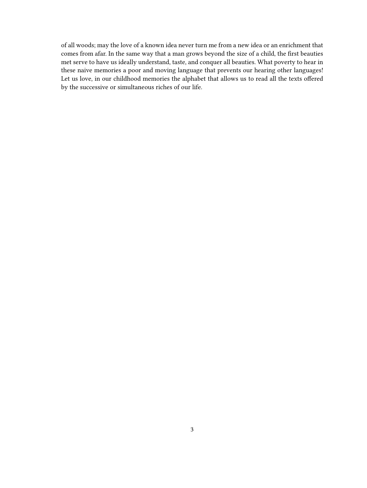of all woods; may the love of a known idea never turn me from a new idea or an enrichment that comes from afar. In the same way that a man grows beyond the size of a child, the first beauties met serve to have us ideally understand, taste, and conquer all beauties. What poverty to hear in these naive memories a poor and moving language that prevents our hearing other languages! Let us love, in our childhood memories the alphabet that allows us to read all the texts offered by the successive or simultaneous riches of our life.